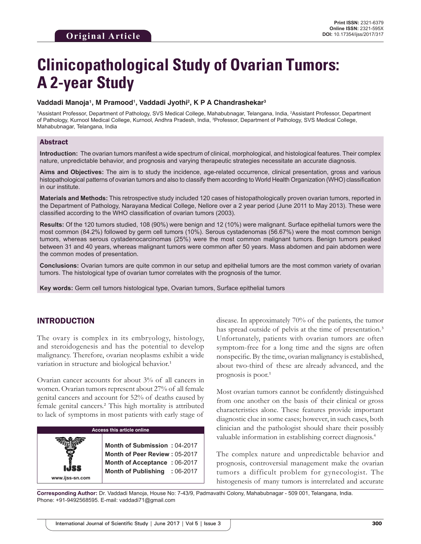# **Clinicopathological Study of Ovarian Tumors: A 2-year Study**

## Vaddadi Manoja<sup>1</sup>, M Pramood<sup>1</sup>, Vaddadi Jyothi<sup>2</sup>, K P A Chandrashekar<sup>3</sup>

1Assistant Professor, Department of Pathology, SVS Medical College, Mahabubnagar, Telangana, India, <sup>2</sup>Assistant Professor, Department of Pathology, Kurnool Medical College, Kurnool, Andhra Pradesh, India, 3 Professor, Department of Pathology, SVS Medical College, Mahabubnagar, Telangana, India

## Abstract

**Introduction:** The ovarian tumors manifest a wide spectrum of clinical, morphological, and histological features. Their complex nature, unpredictable behavior, and prognosis and varying therapeutic strategies necessitate an accurate diagnosis.

**Aims and Objectives:** The aim is to study the incidence, age-related occurrence, clinical presentation, gross and various histopathological patterns of ovarian tumors and also to classify them according to World Health Organization (WHO) classification in our institute.

**Materials and Methods:** This retrospective study included 120 cases of histopathologically proven ovarian tumors, reported in the Department of Pathology, Narayana Medical College, Nellore over a 2 year period (June 2011 to May 2013). These were classified according to the WHO classification of ovarian tumors (2003).

**Results:** Of the 120 tumors studied, 108 (90%) were benign and 12 (10%) were malignant. Surface epithelial tumors were the most common (84.2%) followed by germ cell tumors (10%). Serous cystadenomas (56.67%) were the most common benign tumors, whereas serous cystadenocarcinomas (25%) were the most common malignant tumors. Benign tumors peaked between 31 and 40 years, whereas malignant tumors were common after 50 years. Mass abdomen and pain abdomen were the common modes of presentation.

**Conclusions:** Ovarian tumors are quite common in our setup and epithelial tumors are the most common variety of ovarian tumors. The histological type of ovarian tumor correlates with the prognosis of the tumor.

**Key words:** Germ cell tumors histological type, Ovarian tumors, Surface epithelial tumors

# INTRODUCTION

**www.ijss-sn.com**

The ovary is complex in its embryology, histology, and steroidogenesis and has the potential to develop malignancy. Therefore, ovarian neoplasms exhibit a wide variation in structure and biological behavior.<sup>1</sup>

Ovarian cancer accounts for about 3% of all cancers in women. Ovarian tumors represent about 27% of all female genital cancers and account for 52% of deaths caused by female genital cancers.² This high mortality is attributed to lack of symptoms in most patients with early stage of

## **Access this article online**

**Month of Submission :** 04-2017 **Month of Peer Review :** 05-2017 **Month of Acceptance :** 06-2017 **Month of Publishing :** 06-2017 disease. In approximately 70% of the patients, the tumor has spread outside of pelvis at the time of presentation.<sup>3</sup> Unfortunately, patients with ovarian tumors are often symptom-free for a long time and the signs are often nonspecific. By the time, ovarian malignancy is established, about two-third of these are already advanced, and the prognosis is poor. $<sup>1</sup>$ </sup>

Most ovarian tumors cannot be confidently distinguished from one another on the basis of their clinical or gross characteristics alone. These features provide important diagnostic clue in some cases; however, in such cases, both clinician and the pathologist should share their possibly valuable information in establishing correct diagnosis.<sup>4</sup>

The complex nature and unpredictable behavior and prognosis, controversial management make the ovarian tumors a difficult problem for gynecologist. The histogenesis of many tumors is interrelated and accurate

**Corresponding Author:** Dr. Vaddadi Manoja, House No: 7-43/9, Padmavathi Colony, Mahabubnagar - 509 001, Telangana, India. Phone: +91-9492568595. E-mail: vaddadi71@gmail.com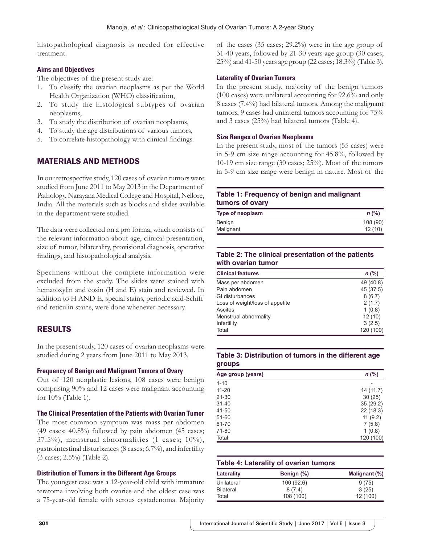histopathological diagnosis is needed for effective treatment.

## **Aims and Objectives**

The objectives of the present study are:

- 1. To classify the ovarian neoplasms as per the World Health Organization (WHO) classification,
- 2. To study the histological subtypes of ovarian neoplasms,
- 3. To study the distribution of ovarian neoplasms,
- 4. To study the age distributions of various tumors,
- 5. To correlate histopathology with clinical findings.

# MATERIALS AND METHODS

In our retrospective study, 120 cases of ovarian tumors were studied from June 2011 to May 2013 in the Department of Pathology, Narayana Medical College and Hospital, Nellore, India. All the materials such as blocks and slides available in the department were studied.

The data were collected on a pro forma, which consists of the relevant information about age, clinical presentation, size of tumor, bilaterality, provisional diagnosis, operative findings, and histopathological analysis.

Specimens without the complete information were excluded from the study. The slides were stained with hematoxylin and eosin (H and E) stain and reviewed. In addition to H AND E, special stains, periodic acid-Schiff and reticulin stains, were done whenever necessary.

# RESULTS

In the present study, 120 cases of ovarian neoplasms were studied during 2 years from June 2011 to May 2013.

### **Frequency of Benign and Malignant Tumors of Ovary**

Out of 120 neoplastic lesions, 108 cases were benign comprising 90% and 12 cases were malignant accounting for 10% (Table 1).

**The Clinical Presentation of the Patients with Ovarian Tumor**

The most common symptom was mass per abdomen (49 cases; 40.8%) followed by pain abdomen (45 cases; 37.5%), menstrual abnormalities (1 cases; 10%), gastrointestinal disturbances (8 cases; 6.7%), and infertility (3 cases; 2.5%) (Table 2).

## **Distribution of Tumors in the Different Age Groups**

The youngest case was a 12-year-old child with immature teratoma involving both ovaries and the oldest case was a 75-year-old female with serous cystadenoma. Majority of the cases (35 cases; 29.2%) were in the age group of 31-40 years, followed by 21-30 years age group (30 cases; 25%) and 41-50 years age group (22 cases; 18.3%) (Table 3).

## **Laterality of Ovarian Tumors**

In the present study, majority of the benign tumors (100 cases) were unilateral accounting for 92.6% and only 8 cases (7.4%) had bilateral tumors. Among the malignant tumors, 9 cases had unilateral tumors accounting for 75% and 3 cases (25%) had bilateral tumors (Table 4).

### **Size Ranges of Ovarian Neoplasms**

In the present study, most of the tumors (55 cases) were in 5-9 cm size range accounting for 45.8%, followed by 10-19 cm size range (30 cases; 25%). Most of the tumors in 5-9 cm size range were benign in nature. Most of the

## **Table 1: Frequency of benign and malignant tumors of ovary**

| Type of neoplasm | $n$ (%)  |
|------------------|----------|
| Benign           | 108 (90) |
| Malignant        | 12(10)   |

## **Table 2: The clinical presentation of the patients with ovarian tumor**

| <b>Clinical features</b>        | $n$ (%)   |
|---------------------------------|-----------|
| Mass per abdomen                | 49 (40.8) |
| Pain abdomen                    | 45 (37.5) |
| GI disturbances                 | 8(6.7)    |
| Loss of weight/loss of appetite | 2(1.7)    |
| Ascites                         | 1(0.8)    |
| Menstrual abnormality           | 12(10)    |
| Infertility                     | 3(2.5)    |
| Total                           | 120 (100) |

### **Table 3: Distribution of tumors in the different age groups**

| Age group (years) | $n$ (%)   |
|-------------------|-----------|
| $1 - 10$          |           |
| $11 - 20$         | 14 (11.7) |
| $21 - 30$         | 30(25)    |
| $31 - 40$         | 35(29.2)  |
| 41-50             | 22(18.3)  |
| 51-60             | 11(9.2)   |
| 61-70             | 7(5.8)    |
| 71-80             | 1(0.8)    |
| Total             | 120 (100) |

| Table 4: Laterality of ovarian tumors |            |               |  |
|---------------------------------------|------------|---------------|--|
| Laterality                            | Benign (%) | Malignant (%) |  |
| Unilateral                            | 100 (92.6) | 9(75)         |  |
| <b>Bilateral</b>                      | 8(7.4)     | 3(25)         |  |
| Total                                 | 108 (100)  | 12 (100)      |  |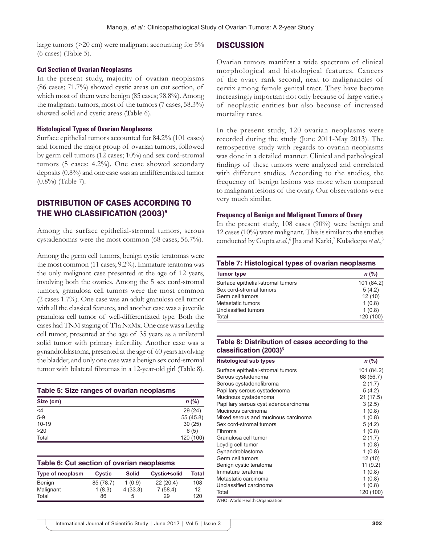large tumors (>20 cm) were malignant accounting for 5% (6 cases) (Table 5).

#### **Cut Section of Ovarian Neoplasms**

In the present study, majority of ovarian neoplasms (86 cases; 71.7%) showed cystic areas on cut section, of which most of them were benign (85 cases; 98.8%). Among the malignant tumors, most of the tumors (7 cases, 58.3%) showed solid and cystic areas (Table 6).

#### **Histological Types of Ovarian Neoplasms**

Surface epithelial tumors accounted for 84.2% (101 cases) and formed the major group of ovarian tumors, followed by germ cell tumors (12 cases; 10%) and sex cord-stromal tumors (5 cases; 4.2%). One case showed secondary deposits (0.8%) and one case was an undifferentiated tumor (0.8%) (Table 7).

# DISTRIBUTION OF CASES ACCORDING TO THE WHO CLASSIFICATION (2003)<sup>5</sup>

Among the surface epithelial-stromal tumors, serous cystadenomas were the most common (68 cases; 56.7%).

Among the germ cell tumors, benign cystic teratomas were the most common (11 cases; 9.2%). Immature teratoma was the only malignant case presented at the age of 12 years, involving both the ovaries. Among the 5 sex cord-stromal tumors, granulosa cell tumors were the most common (2 cases 1.7%). One case was an adult granulosa cell tumor with all the classical features, and another case was a juvenile granulosa cell tumor of well-differentiated type. Both the cases had TNM staging of T1a NxMx. One case was a Leydig cell tumor, presented at the age of 35 years as a unilateral solid tumor with primary infertility. Another case was a gynandroblastoma, presented at the age of 60 years involving the bladder, and only one case was a benign sex cord-stromal tumor with bilateral fibromas in a 12-year-old girl (Table 8).

| Table 5: Size ranges of ovarian neoplasms |           |  |
|-------------------------------------------|-----------|--|
| Size (cm)                                 | $n$ (%)   |  |
| $<$ 4                                     | 29(24)    |  |
| $5-9$                                     | 55 (45.8) |  |
| $10-19$                                   | 30(25)    |  |
| >20                                       | 6(5)      |  |
| Total                                     | 120 (100) |  |

| Table 6: Cut section of ovarian neoplasms |               |              |              |       |  |
|-------------------------------------------|---------------|--------------|--------------|-------|--|
| Type of neoplasm                          | <b>Cystic</b> | <b>Solid</b> | Cystic+solid | Total |  |
| Benign                                    | 85 (78.7)     | 1(0.9)       | 22(20.4)     | 108   |  |
| Malignant                                 | 1(8.3)        | 4(33.3)      | 7(58.4)      | 12    |  |
| Total                                     | 86            | 5            | 29           | 120   |  |

## **DISCUSSION**

Ovarian tumors manifest a wide spectrum of clinical morphological and histological features. Cancers of the ovary rank second, next to malignancies of cervix among female genital tract. They have become increasingly important not only because of large variety of neoplastic entities but also because of increased mortality rates.

In the present study, 120 ovarian neoplasms were recorded during the study (June 2011-May 2013). The retrospective study with regards to ovarian neoplasms was done in a detailed manner. Clinical and pathological findings of these tumors were analyzed and correlated with different studies. According to the studies, the frequency of benign lesions was more when compared to malignant lesions of the ovary. Our observations were very much similar.

#### **Frequency of Benign and Malignant Tumors of Ovary**

In the present study, 108 cases (90%) were benign and 12 cases (10%) were malignant. This is similar to the studies conducted by Gupta et al.,<sup>6</sup> Jha and Karki,<sup>7</sup> Kuladeepa et al.,<sup>8</sup>

| Table 7: Histological types of ovarian neoplasms |            |  |  |
|--------------------------------------------------|------------|--|--|
| <b>Tumor type</b>                                | $n$ (%)    |  |  |
| Surface epithelial-stromal tumors                | 101 (84.2) |  |  |
| Sex cord-stromal tumors                          | 5(4.2)     |  |  |
| Germ cell tumors                                 | 12(10)     |  |  |
| Metastatic tumors                                | 1(0.8)     |  |  |
| Unclassified tumors                              | 1(0.8)     |  |  |
| Total                                            | 120 (100)  |  |  |

## **Table 8: Distribution of cases according to the classification (2003)<sup>5</sup>**

| <b>Histological sub types</b>        | $n$ (%)    |
|--------------------------------------|------------|
| Surface epithelial-stromal tumors    | 101 (84.2) |
| Serous cystadenoma                   | 68 (56.7)  |
| Serous cystadenofibroma              | 2(1.7)     |
| Papillary serous cystadenoma         | 5 (4.2)    |
| Mucinous cystadenoma                 | 21 (17.5)  |
| Papillary serous cyst adenocarcinoma | 3(2.5)     |
| Mucinous carcinoma                   | 1(0.8)     |
| Mixed serous and mucinous carcinoma  | 1(0.8)     |
| Sex cord-stromal tumors              | 5 (4.2)    |
| Fibroma                              | 1(0.8)     |
| Granulosa cell tumor                 | 2(1.7)     |
| Leydig cell tumor                    | 1(0.8)     |
| Gynandroblastoma                     | 1(0.8)     |
| Germ cell tumors                     | 12 (10)    |
| Benign cystic teratoma               | 11(9.2)    |
| Immature teratoma                    | 1(0.8)     |
| Metastatic carcinoma                 | 1(0.8)     |
| Unclassified carcinoma               | 1(0.8)     |
| Total                                | 120 (100)  |

WHO: World Health Organization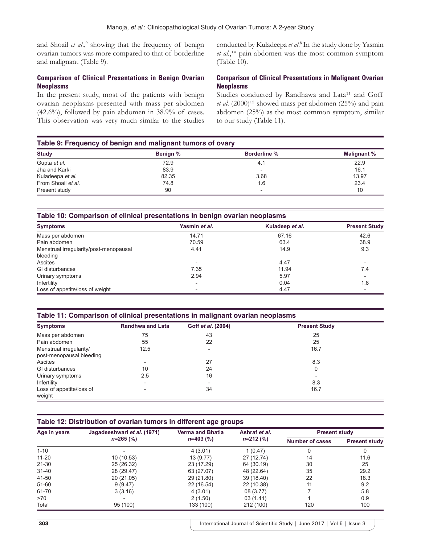and Shoail et al.,<sup>9</sup> showing that the frequency of benign ovarian tumors was more compared to that of borderline and malignant (Table 9).

## **Comparison of Clinical Presentations in Benign Ovarian Neoplasms**

In the present study, most of the patients with benign ovarian neoplasms presented with mass per abdomen (42.6%), followed by pain abdomen in 38.9% of cases. This observation was very much similar to the studies

conducted by Kuladeepa *et al*. 8 In the study done by Yasmin *et al.*,<sup>10</sup> pain abdomen was the most common symptom (Table 10).

## **Comparison of Clinical Presentations in Malignant Ovarian Neoplasms**

Studies conducted by Randhawa and Lata<sup>11</sup> and Goff *et al.* (2000)<sup>12</sup> showed mass per abdomen (25%) and pain abdomen (25%) as the most common symptom, similar to our study (Table 11).

## **Table 9: Frequency of benign and malignant tumors of ovary**

| <b>Study</b>       | Benign % | <b>Borderline %</b>      | <b>Malignant %</b> |
|--------------------|----------|--------------------------|--------------------|
| Gupta et al.       | 72.9     | 4.1                      | 22.9               |
| Jha and Karki      | 83.9     | $\overline{\phantom{0}}$ | 16.1               |
| Kuladeepa et al.   | 82.35    | 3.68                     | 13.97              |
| From Shoail et al. | 74.8     | 1.6                      | 23.4               |
| Present study      | 90       | $\overline{\phantom{0}}$ | 10                 |

## **Table 10: Comparison of clinical presentations in benign ovarian neoplasms**

| <b>Symptoms</b>                        | Yasmin et al.            | Kuladeep et al. | <b>Present Study</b> |
|----------------------------------------|--------------------------|-----------------|----------------------|
| Mass per abdomen                       | 14.71                    | 67.16           | 42.6                 |
| Pain abdomen                           | 70.59                    | 63.4            | 38.9                 |
| Menstrual irregularity/post-menopausal | 4.41                     | 14.9            | 9.3                  |
| bleeding                               |                          |                 |                      |
| Ascites                                | $\overline{\phantom{0}}$ | 4.47            |                      |
| GI disturbances                        | 7.35                     | 11.94           | 7.4                  |
| Urinary symptoms                       | 2.94                     | 5.97            |                      |
| Infertility                            | $\overline{\phantom{0}}$ | 0.04            | 1.8                  |
| Loss of appetite/loss of weight        |                          | 4.47            |                      |

## **Table 11: Comparison of clinical presentations in malignant ovarian neoplasms**

| <b>Symptoms</b>          | <b>Randhwa and Lata</b>  | Goff et al. (2004) | <b>Present Study</b> |
|--------------------------|--------------------------|--------------------|----------------------|
| Mass per abdomen         | 75                       | 43                 | 25                   |
| Pain abdomen             | 55                       | 22                 | 25                   |
| Menstrual irregularity/  | 12.5                     |                    | 16.7                 |
| post-menopausal bleeding |                          |                    |                      |
| Ascites                  |                          | 27                 | 8.3                  |
| GI disturbances          | 10                       | 24                 | 0                    |
| Urinary symptoms         | 2.5                      | 16                 |                      |
| Infertility              |                          |                    | 8.3                  |
| Loss of appetite/loss of | $\overline{\phantom{a}}$ | 34                 | 16.7                 |
| weight                   |                          |                    |                      |

## **Table 12: Distribution of ovarian tumors in different age groups**

| Age in years | Jagadeeshwari et al. (1971)<br>$n=265$ (%) | <b>Verma and Bhatia</b><br>$n=403$ (%) | Ashraf et al.<br>$n=212(%)$ | <b>Present study</b>   |                      |
|--------------|--------------------------------------------|----------------------------------------|-----------------------------|------------------------|----------------------|
|              |                                            |                                        |                             | <b>Number of cases</b> | <b>Present study</b> |
| $1 - 10$     |                                            | 4(3.01)                                | 1(0.47)                     | 0                      |                      |
| $11 - 20$    | 10 (10.53)                                 | 13 (9.77)                              | 27 (12.74)                  | 14                     | 11.6                 |
| 21-30        | 25 (26.32)                                 | 23 (17.29)                             | 64 (30.19)                  | 30                     | 25                   |
| $31 - 40$    | 28 (29.47)                                 | 63 (27.07)                             | 48 (22.64)                  | 35                     | 29.2                 |
| 41-50        | 20 (21.05)                                 | 29 (21.80)                             | 39 (18.40)                  | 22                     | 18.3                 |
| $51 - 60$    | 9(9.47)                                    | 22 (16.54)                             | 22 (10.38)                  | 11                     | 9.2                  |
| 61-70        | 3(3.16)                                    | 4 (3.01)                               | 08 (3.77)                   |                        | 5.8                  |
| >70          |                                            | 2(1.50)                                | 03(1.41)                    |                        | 0.9                  |
| Total        | 95 (100)                                   | 133 (100)                              | 212 (100)                   | 120                    | 100                  |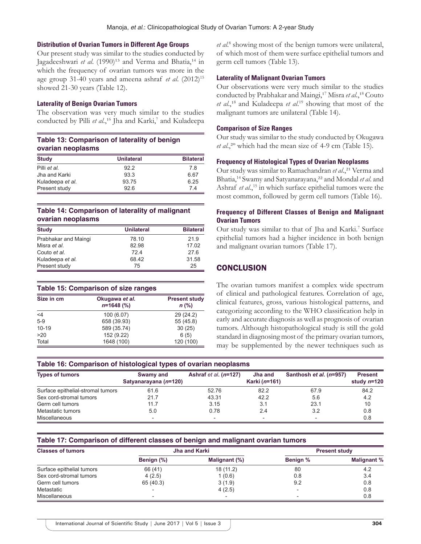#### **Distribution of Ovarian Tumors in Different Age Groups**

Our present study was similar to the studies conducted by Jagadeeshwari et al. (1990)<sup>13</sup> and Verma and Bhatia,<sup>14</sup> in which the frequency of ovarian tumors was more in the age group 31-40 years and ameena ashraf *et al*. (2012)<sup>15</sup> showed 21-30 years (Table 12).

#### **Laterality of Benign Ovarian Tumors**

The observation was very much similar to the studies conducted by Pilli et al.,<sup>16</sup> Jha and Karki,<sup>7</sup> and Kuladeepa

## **Table 13: Comparison of laterality of benign ovarian neoplasms**

| <b>Study</b>     | <b>Unilateral</b> | <b>Bilateral</b> |  |
|------------------|-------------------|------------------|--|
| Pilli et al.     | 922               | 7.8              |  |
| Jha and Karki    | 93.3              | 6.67             |  |
| Kuladeepa et al. | 93.75             | 6.25             |  |
| Present study    | 926               | 74               |  |

## **Table 14: Comparison of laterality of malignant ovarian neoplasms**

| <b>Study</b>         | <b>Unilateral</b> | <b>Bilateral</b> |
|----------------------|-------------------|------------------|
| Prabhakar and Maingi | 78.10             | 21.9             |
| Misra et al.         | 82.98             | 17.02            |
| Couto et al.         | 724               | 276              |
| Kuladeepa et al.     | 68.42             | 31.58            |
| Present study        | 75                | 25               |

### **Table 15: Comparison of size ranges**

| Size in cm | Okugawa et al.<br>$n=1648$ (%) | <b>Present study</b><br>$n$ (%) |  |
|------------|--------------------------------|---------------------------------|--|
| $<$ 4      | 100 (6.07)                     | 29(24.2)                        |  |
| $5-9$      | 658 (39.93)                    | 55 (45.8)                       |  |
| $10 - 19$  | 589 (35.74)                    | 30(25)                          |  |
| >20        | 152 (9.22)                     | 6(5)                            |  |
| Total      | 1648 (100)                     | 120 (100)                       |  |

et al.<sup>8</sup> showing most of the benign tumors were unilateral, of which most of them were surface epithelial tumors and germ cell tumors (Table 13).

#### **Laterality of Malignant Ovarian Tumors**

Our observations were very much similar to the studies conducted by Prabhakar and Maingi,<sup>17</sup> Misra et al.,<sup>18</sup> Couto et al.,<sup>18</sup> and Kuladeepa et al.<sup>19</sup> showing that most of the malignant tumors are unilateral (Table 14).

#### **Comparison of Size Ranges**

Our study was similar to the study conducted by Okugawa *et al*.,²º which had the mean size of 4-9 cm (Table 15).

#### **Frequency of Histological Types of Ovarian Neoplasms**

Our study was similar to Ramachandran et al.,<sup>21</sup> Verma and Bhatia,14 Swamy and Satyanarayana,²² and Mondal *et al*. and Ashraf *et al.*, 15 in which surface epithelial tumors were the most common, followed by germ cell tumors (Table 16).

#### **Frequency of Different Classes of Benign and Malignant Ovarian Tumors**

Our study was similar to that of Jha and Karki.<sup>7</sup> Surface epithelial tumors had a higher incidence in both benign and malignant ovarian tumors (Table 17).

## **CONCLUSION**

The ovarian tumors manifest a complex wide spectrum of clinical and pathological features. Correlation of age, clinical features, gross, various histological patterns, and categorizing according to the WHO classification help in early and accurate diagnosis as well as prognosis of ovarian tumors. Although histopathological study is still the gold standard in diagnosing most of the primary ovarian tumors, may be supplemented by the newer techniques such as

#### **Table 16: Comparison of histological types of ovarian neoplasms**

| <b>Types of tumors</b>            | Swamy and<br>Satyanarayana (n=120) | Ashraf $et al. (n=127)$  | Jha and<br>Karki (n=161) | Santhosh et al. (n=957) | <b>Present</b><br>study $n=120$ |
|-----------------------------------|------------------------------------|--------------------------|--------------------------|-------------------------|---------------------------------|
| Surface epithelial-stromal tumors | 61.6                               | 52.76                    | 82.2                     | 67.9                    | 84.2                            |
| Sex cord-stromal tumors           | 21.7                               | 43.31                    | 42.2                     | 5.6                     | 4.2                             |
| Germ cell tumors                  | 11.7                               | 3.15                     | 3.1                      | 23.1                    | 10                              |
| Metastatic tumors                 | 5.0                                | 0.78                     | 2.4                      | 3.2                     | 0.8                             |
| Miscellaneous                     | $\overline{\phantom{0}}$           | $\overline{\phantom{a}}$ | $\overline{\phantom{a}}$ |                         | 0.8                             |

#### **Table 17: Comparison of different classes of benign and malignant ovarian tumors**

| <b>Classes of tumors</b>  | Jha and Karki |               | <b>Present study</b>     |                    |
|---------------------------|---------------|---------------|--------------------------|--------------------|
|                           | Benign (%)    | Malignant (%) | Benign %                 | <b>Malignant %</b> |
| Surface epithelial tumors | 66 (41)       | 18(11.2)      | 80                       | 4.2                |
| Sex cord-stromal tumors   | 4(2.5)        | 1(0.6)        | 0.8                      | 3.4                |
| Germ cell tumors          | 65 (40.3)     | 3(1.9)        | 9.2                      | 0.8                |
| Metastatic                | -             | 4(2.5)        | $\overline{\phantom{a}}$ | 0.8                |
| <b>Miscellaneous</b>      |               |               |                          | 0.8                |